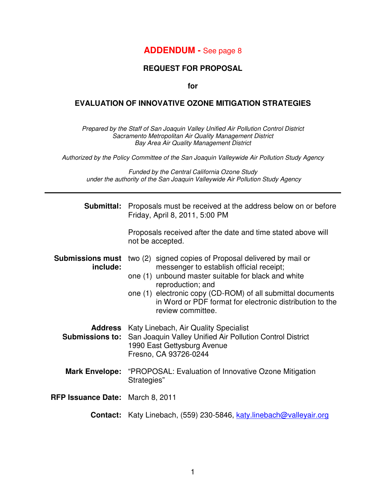## **ADDENDUM -** See page 8

### **REQUEST FOR PROPOSAL**

**for** 

#### **EVALUATION OF INNOVATIVE OZONE MITIGATION STRATEGIES**

Prepared by the Staff of San Joaquin Valley Unified Air Pollution Control District Sacramento Metropolitan Air Quality Management District Bay Area Air Quality Management District

Authorized by the Policy Committee of the San Joaquin Valleywide Air Pollution Study Agency

Funded by the Central California Ozone Study under the authority of the San Joaquin Valleywide Air Pollution Study Agency

|                                     | <b>Submittal:</b> Proposals must be received at the address below on or before<br>Friday, April 8, 2011, 5:00 PM                                                                                                                                                                                                               |  |  |
|-------------------------------------|--------------------------------------------------------------------------------------------------------------------------------------------------------------------------------------------------------------------------------------------------------------------------------------------------------------------------------|--|--|
|                                     | Proposals received after the date and time stated above will<br>not be accepted.                                                                                                                                                                                                                                               |  |  |
| <b>Submissions must</b><br>include: | two (2) signed copies of Proposal delivered by mail or<br>messenger to establish official receipt;<br>one (1) unbound master suitable for black and white<br>reproduction; and<br>one (1) electronic copy (CD-ROM) of all submittal documents<br>in Word or PDF format for electronic distribution to the<br>review committee. |  |  |
| <b>Submissions to:</b>              | <b>Address</b> Katy Linebach, Air Quality Specialist<br>San Joaquin Valley Unified Air Pollution Control District<br>1990 East Gettysburg Avenue<br>Fresno, CA 93726-0244                                                                                                                                                      |  |  |
| <b>Mark Envelope:</b>               | "PROPOSAL: Evaluation of Innovative Ozone Mitigation<br>Strategies"                                                                                                                                                                                                                                                            |  |  |
| RFP Issuance Date: March 8, 2011    |                                                                                                                                                                                                                                                                                                                                |  |  |
|                                     | Contact: Katy Linebach, (559) 230-5846, katy.linebach@valleyair.org                                                                                                                                                                                                                                                            |  |  |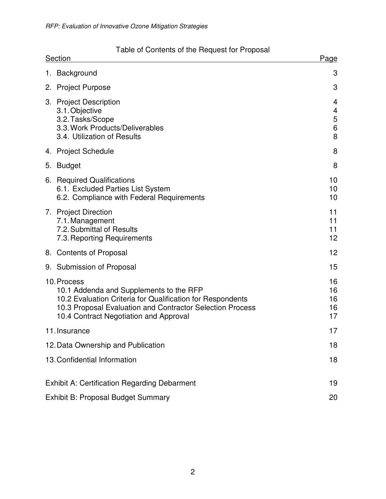| Table of Contents of the Request for Proposal<br><b>Section</b><br>Page |                                                                                                                                                                                                                             |                            |  |  |
|-------------------------------------------------------------------------|-----------------------------------------------------------------------------------------------------------------------------------------------------------------------------------------------------------------------------|----------------------------|--|--|
|                                                                         | 1. Background                                                                                                                                                                                                               | 3                          |  |  |
|                                                                         | 2. Project Purpose                                                                                                                                                                                                          | 3                          |  |  |
|                                                                         | 3. Project Description<br>3.1. Objective<br>3.2. Tasks/Scope<br>3.3. Work Products/Deliverables<br>3.4. Utilization of Results                                                                                              | 4<br>4<br>5<br>$\,6$<br>8  |  |  |
|                                                                         | 4. Project Schedule                                                                                                                                                                                                         | 8                          |  |  |
|                                                                         | 5. Budget                                                                                                                                                                                                                   | 8                          |  |  |
|                                                                         | 6. Required Qualifications<br>6.1. Excluded Parties List System<br>6.2. Compliance with Federal Requirements                                                                                                                | 10<br>10<br>10             |  |  |
|                                                                         | 7. Project Direction<br>7.1. Management<br>7.2. Submittal of Results<br>7.3. Reporting Requirements                                                                                                                         | 11<br>11<br>11<br>12       |  |  |
|                                                                         | 8. Contents of Proposal                                                                                                                                                                                                     | 12                         |  |  |
|                                                                         | 9. Submission of Proposal                                                                                                                                                                                                   | 15                         |  |  |
|                                                                         | 10. Process<br>10.1 Addenda and Supplements to the RFP<br>10.2 Evaluation Criteria for Qualification for Respondents<br>10.3 Proposal Evaluation and Contractor Selection Process<br>10.4 Contract Negotiation and Approval | 16<br>16<br>16<br>16<br>17 |  |  |
|                                                                         | 11. Insurance                                                                                                                                                                                                               | 17                         |  |  |
| 12. Data Ownership and Publication                                      |                                                                                                                                                                                                                             |                            |  |  |
|                                                                         | 13. Confidential Information                                                                                                                                                                                                | 18                         |  |  |
|                                                                         | <b>Exhibit A: Certification Regarding Debarment</b>                                                                                                                                                                         | 19                         |  |  |
|                                                                         | <b>Exhibit B: Proposal Budget Summary</b><br>20                                                                                                                                                                             |                            |  |  |

#### Table of Contents of the Request for Proposal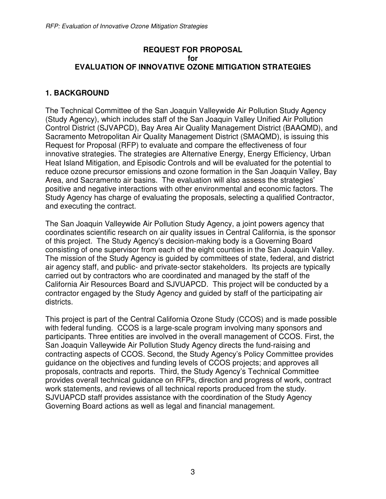### **REQUEST FOR PROPOSAL for EVALUATION OF INNOVATIVE OZONE MITIGATION STRATEGIES**

### **1. BACKGROUND**

The Technical Committee of the San Joaquin Valleywide Air Pollution Study Agency (Study Agency), which includes staff of the San Joaquin Valley Unified Air Pollution Control District (SJVAPCD), Bay Area Air Quality Management District (BAAQMD), and Sacramento Metropolitan Air Quality Management District (SMAQMD), is issuing this Request for Proposal (RFP) to evaluate and compare the effectiveness of four innovative strategies. The strategies are Alternative Energy, Energy Efficiency, Urban Heat Island Mitigation, and Episodic Controls and will be evaluated for the potential to reduce ozone precursor emissions and ozone formation in the San Joaquin Valley, Bay Area, and Sacramento air basins. The evaluation will also assess the strategies' positive and negative interactions with other environmental and economic factors. The Study Agency has charge of evaluating the proposals, selecting a qualified Contractor, and executing the contract.

The San Joaquin Valleywide Air Pollution Study Agency, a joint powers agency that coordinates scientific research on air quality issues in Central California, is the sponsor of this project. The Study Agency's decision-making body is a Governing Board consisting of one supervisor from each of the eight counties in the San Joaquin Valley. The mission of the Study Agency is guided by committees of state, federal, and district air agency staff, and public- and private-sector stakeholders. Its projects are typically carried out by contractors who are coordinated and managed by the staff of the California Air Resources Board and SJVUAPCD. This project will be conducted by a contractor engaged by the Study Agency and guided by staff of the participating air districts.

This project is part of the Central California Ozone Study (CCOS) and is made possible with federal funding. CCOS is a large-scale program involving many sponsors and participants. Three entities are involved in the overall management of CCOS. First, the San Joaquin Valleywide Air Pollution Study Agency directs the fund-raising and contracting aspects of CCOS. Second, the Study Agency's Policy Committee provides guidance on the objectives and funding levels of CCOS projects; and approves all proposals, contracts and reports. Third, the Study Agency's Technical Committee provides overall technical guidance on RFPs, direction and progress of work, contract work statements, and reviews of all technical reports produced from the study. SJVUAPCD staff provides assistance with the coordination of the Study Agency Governing Board actions as well as legal and financial management.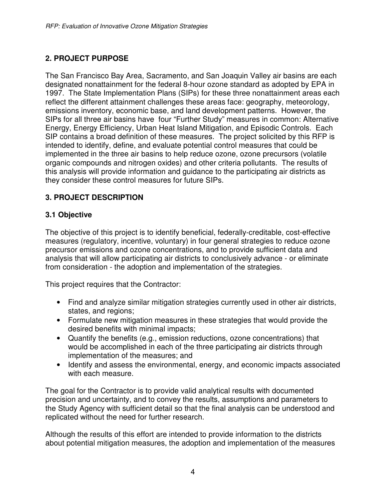## **2. PROJECT PURPOSE**

The San Francisco Bay Area, Sacramento, and San Joaquin Valley air basins are each designated nonattainment for the federal 8-hour ozone standard as adopted by EPA in 1997. The State Implementation Plans (SIPs) for these three nonattainment areas each reflect the different attainment challenges these areas face: geography, meteorology, emissions inventory, economic base, and land development patterns. However, the SIPs for all three air basins have four "Further Study" measures in common: Alternative Energy, Energy Efficiency, Urban Heat Island Mitigation, and Episodic Controls. Each SIP contains a broad definition of these measures. The project solicited by this RFP is intended to identify, define, and evaluate potential control measures that could be implemented in the three air basins to help reduce ozone, ozone precursors (volatile organic compounds and nitrogen oxides) and other criteria pollutants. The results of this analysis will provide information and guidance to the participating air districts as they consider these control measures for future SIPs.

## **3. PROJECT DESCRIPTION**

## **3.1 Objective**

The objective of this project is to identify beneficial, federally-creditable, cost-effective measures (regulatory, incentive, voluntary) in four general strategies to reduce ozone precursor emissions and ozone concentrations, and to provide sufficient data and analysis that will allow participating air districts to conclusively advance - or eliminate from consideration - the adoption and implementation of the strategies.

This project requires that the Contractor:

- Find and analyze similar mitigation strategies currently used in other air districts, states, and regions;
- Formulate new mitigation measures in these strategies that would provide the desired benefits with minimal impacts;
- Quantify the benefits (e.g., emission reductions, ozone concentrations) that would be accomplished in each of the three participating air districts through implementation of the measures; and
- Identify and assess the environmental, energy, and economic impacts associated with each measure.

The goal for the Contractor is to provide valid analytical results with documented precision and uncertainty, and to convey the results, assumptions and parameters to the Study Agency with sufficient detail so that the final analysis can be understood and replicated without the need for further research.

Although the results of this effort are intended to provide information to the districts about potential mitigation measures, the adoption and implementation of the measures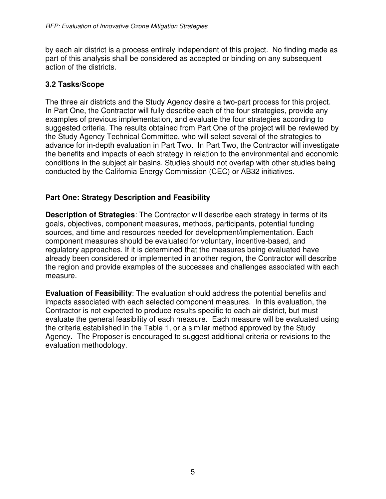by each air district is a process entirely independent of this project. No finding made as part of this analysis shall be considered as accepted or binding on any subsequent action of the districts.

## **3.2 Tasks/Scope**

The three air districts and the Study Agency desire a two-part process for this project. In Part One, the Contractor will fully describe each of the four strategies, provide any examples of previous implementation, and evaluate the four strategies according to suggested criteria. The results obtained from Part One of the project will be reviewed by the Study Agency Technical Committee, who will select several of the strategies to advance for in-depth evaluation in Part Two. In Part Two, the Contractor will investigate the benefits and impacts of each strategy in relation to the environmental and economic conditions in the subject air basins. Studies should not overlap with other studies being conducted by the California Energy Commission (CEC) or AB32 initiatives.

## **Part One: Strategy Description and Feasibility**

**Description of Strategies**: The Contractor will describe each strategy in terms of its goals, objectives, component measures, methods, participants, potential funding sources, and time and resources needed for development/implementation. Each component measures should be evaluated for voluntary, incentive-based, and regulatory approaches. If it is determined that the measures being evaluated have already been considered or implemented in another region, the Contractor will describe the region and provide examples of the successes and challenges associated with each measure.

**Evaluation of Feasibility**: The evaluation should address the potential benefits and impacts associated with each selected component measures. In this evaluation, the Contractor is not expected to produce results specific to each air district, but must evaluate the general feasibility of each measure. Each measure will be evaluated using the criteria established in the Table 1, or a similar method approved by the Study Agency. The Proposer is encouraged to suggest additional criteria or revisions to the evaluation methodology.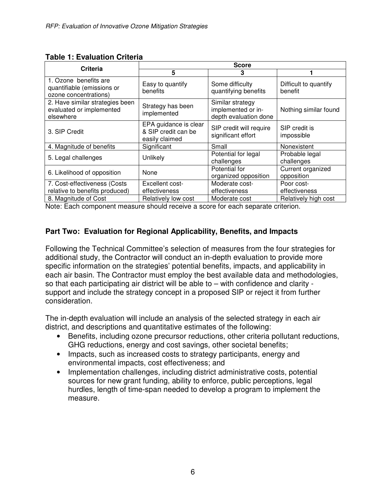| <b>Criteria</b>                                                              | <b>Score</b>                                                   |                                                                 |                                  |  |
|------------------------------------------------------------------------------|----------------------------------------------------------------|-----------------------------------------------------------------|----------------------------------|--|
|                                                                              | 5                                                              | 3                                                               |                                  |  |
| 1. Ozone benefits are<br>quantifiable (emissions or<br>ozone concentrations) | Easy to quantify<br>benefits                                   | Some difficulty<br>quantifying benefits                         | Difficult to quantify<br>benefit |  |
| 2. Have similar strategies been<br>evaluated or implemented<br>elsewhere     | Strategy has been<br>implemented                               | Similar strategy<br>implemented or in-<br>depth evaluation done | Nothing similar found            |  |
| 3. SIP Credit                                                                | EPA guidance is clear<br>& SIP credit can be<br>easily claimed | SIP credit will require<br>significant effort                   | SIP credit is<br>impossible      |  |
| 4. Magnitude of benefits                                                     | Significant                                                    | Small                                                           | Nonexistent                      |  |
| 5. Legal challenges                                                          | Unlikely                                                       | Potential for legal<br>challenges                               | Probable legal<br>challenges     |  |
| 6. Likelihood of opposition                                                  | None                                                           | Potential for<br>organized opposition                           | Current organized<br>opposition  |  |
| 7. Cost-effectiveness (Costs<br>relative to benefits produced)               | Excellent cost-<br>effectiveness                               | Moderate cost-<br>effectiveness                                 | Poor cost-<br>effectiveness      |  |
| 8. Magnitude of Cost                                                         | Relatively low cost                                            | Moderate cost                                                   | Relatively high cost             |  |

### **Table 1: Evaluation Criteria**

Note: Each component measure should receive a score for each separate criterion.

## **Part Two: Evaluation for Regional Applicability, Benefits, and Impacts**

Following the Technical Committee's selection of measures from the four strategies for additional study, the Contractor will conduct an in-depth evaluation to provide more specific information on the strategies' potential benefits, impacts, and applicability in each air basin. The Contractor must employ the best available data and methodologies, so that each participating air district will be able to – with confidence and clarity support and include the strategy concept in a proposed SIP or reject it from further consideration.

The in-depth evaluation will include an analysis of the selected strategy in each air district, and descriptions and quantitative estimates of the following:

- Benefits, including ozone precursor reductions, other criteria pollutant reductions, GHG reductions, energy and cost savings, other societal benefits;
- Impacts, such as increased costs to strategy participants, energy and environmental impacts, cost effectiveness; and
- Implementation challenges, including district administrative costs, potential sources for new grant funding, ability to enforce, public perceptions, legal hurdles, length of time-span needed to develop a program to implement the measure.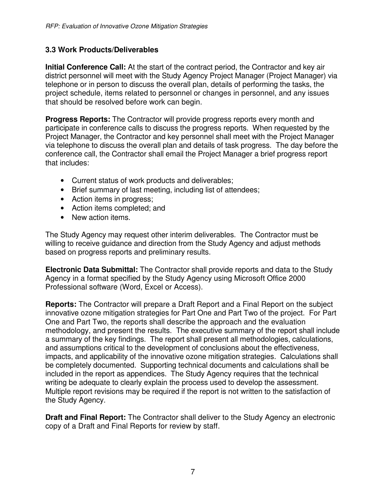## **3.3 Work Products/Deliverables**

**Initial Conference Call:** At the start of the contract period, the Contractor and key air district personnel will meet with the Study Agency Project Manager (Project Manager) via telephone or in person to discuss the overall plan, details of performing the tasks, the project schedule, items related to personnel or changes in personnel, and any issues that should be resolved before work can begin.

**Progress Reports:** The Contractor will provide progress reports every month and participate in conference calls to discuss the progress reports. When requested by the Project Manager, the Contractor and key personnel shall meet with the Project Manager via telephone to discuss the overall plan and details of task progress. The day before the conference call, the Contractor shall email the Project Manager a brief progress report that includes:

- Current status of work products and deliverables;
- Brief summary of last meeting, including list of attendees;
- Action items in progress;
- Action items completed; and
- New action items.

The Study Agency may request other interim deliverables. The Contractor must be willing to receive guidance and direction from the Study Agency and adjust methods based on progress reports and preliminary results.

**Electronic Data Submittal:** The Contractor shall provide reports and data to the Study Agency in a format specified by the Study Agency using Microsoft Office 2000 Professional software (Word, Excel or Access).

**Reports:** The Contractor will prepare a Draft Report and a Final Report on the subject innovative ozone mitigation strategies for Part One and Part Two of the project. For Part One and Part Two, the reports shall describe the approach and the evaluation methodology, and present the results. The executive summary of the report shall include a summary of the key findings. The report shall present all methodologies, calculations, and assumptions critical to the development of conclusions about the effectiveness, impacts, and applicability of the innovative ozone mitigation strategies. Calculations shall be completely documented. Supporting technical documents and calculations shall be included in the report as appendices. The Study Agency requires that the technical writing be adequate to clearly explain the process used to develop the assessment. Multiple report revisions may be required if the report is not written to the satisfaction of the Study Agency.

**Draft and Final Report:** The Contractor shall deliver to the Study Agency an electronic copy of a Draft and Final Reports for review by staff.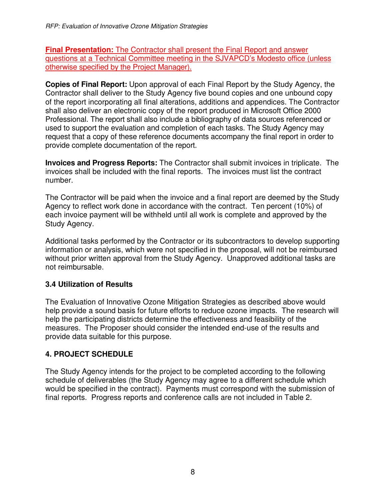**Final Presentation:** The Contractor shall present the Final Report and answer questions at a Technical Committee meeting in the SJVAPCD's Modesto office (unless otherwise specified by the Project Manager).

**Copies of Final Report:** Upon approval of each Final Report by the Study Agency, the Contractor shall deliver to the Study Agency five bound copies and one unbound copy of the report incorporating all final alterations, additions and appendices. The Contractor shall also deliver an electronic copy of the report produced in Microsoft Office 2000 Professional. The report shall also include a bibliography of data sources referenced or used to support the evaluation and completion of each tasks. The Study Agency may request that a copy of these reference documents accompany the final report in order to provide complete documentation of the report.

**Invoices and Progress Reports:** The Contractor shall submit invoices in triplicate. The invoices shall be included with the final reports. The invoices must list the contract number.

The Contractor will be paid when the invoice and a final report are deemed by the Study Agency to reflect work done in accordance with the contract. Ten percent (10%) of each invoice payment will be withheld until all work is complete and approved by the Study Agency.

Additional tasks performed by the Contractor or its subcontractors to develop supporting information or analysis, which were not specified in the proposal, will not be reimbursed without prior written approval from the Study Agency. Unapproved additional tasks are not reimbursable.

## **3.4 Utilization of Results**

The Evaluation of Innovative Ozone Mitigation Strategies as described above would help provide a sound basis for future efforts to reduce ozone impacts. The research will help the participating districts determine the effectiveness and feasibility of the measures. The Proposer should consider the intended end-use of the results and provide data suitable for this purpose.

## **4. PROJECT SCHEDULE**

The Study Agency intends for the project to be completed according to the following schedule of deliverables (the Study Agency may agree to a different schedule which would be specified in the contract). Payments must correspond with the submission of final reports. Progress reports and conference calls are not included in Table 2.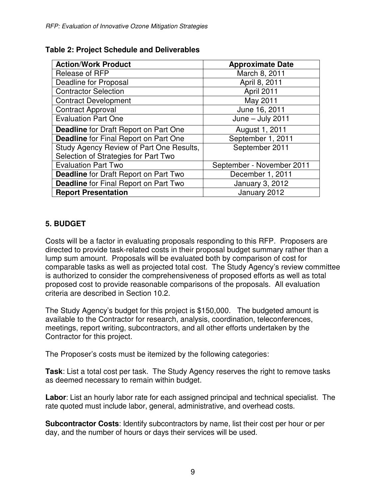| <b>Action/Work Product</b>                   | <b>Approximate Date</b>   |  |
|----------------------------------------------|---------------------------|--|
| Release of RFP                               | March 8, 2011             |  |
| <b>Deadline for Proposal</b>                 | April 8, 2011             |  |
| <b>Contractor Selection</b>                  | April 2011                |  |
| <b>Contract Development</b>                  | May 2011                  |  |
| <b>Contract Approval</b>                     | June 16, 2011             |  |
| <b>Evaluation Part One</b>                   | June $-$ July 2011        |  |
| <b>Deadline</b> for Draft Report on Part One | August 1, 2011            |  |
| <b>Deadline</b> for Final Report on Part One | September 1, 2011         |  |
| Study Agency Review of Part One Results,     | September 2011            |  |
| Selection of Strategies for Part Two         |                           |  |
| <b>Evaluation Part Two</b>                   | September - November 2011 |  |
| <b>Deadline</b> for Draft Report on Part Two | December 1, 2011          |  |
| <b>Deadline</b> for Final Report on Part Two | January 3, 2012           |  |
| <b>Report Presentation</b>                   | January 2012              |  |

### **Table 2: Project Schedule and Deliverables**

## **5. BUDGET**

Costs will be a factor in evaluating proposals responding to this RFP. Proposers are directed to provide task-related costs in their proposal budget summary rather than a lump sum amount. Proposals will be evaluated both by comparison of cost for comparable tasks as well as projected total cost. The Study Agency's review committee is authorized to consider the comprehensiveness of proposed efforts as well as total proposed cost to provide reasonable comparisons of the proposals. All evaluation criteria are described in Section 10.2.

The Study Agency's budget for this project is \$150,000. The budgeted amount is available to the Contractor for research, analysis, coordination, teleconferences, meetings, report writing, subcontractors, and all other efforts undertaken by the Contractor for this project.

The Proposer's costs must be itemized by the following categories:

**Task**: List a total cost per task. The Study Agency reserves the right to remove tasks as deemed necessary to remain within budget.

**Labor**: List an hourly labor rate for each assigned principal and technical specialist. The rate quoted must include labor, general, administrative, and overhead costs.

**Subcontractor Costs**: Identify subcontractors by name, list their cost per hour or per day, and the number of hours or days their services will be used.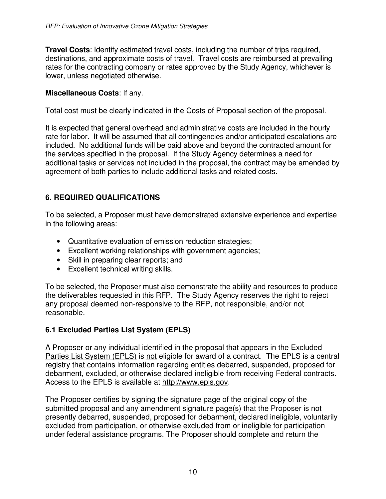**Travel Costs**: Identify estimated travel costs, including the number of trips required, destinations, and approximate costs of travel. Travel costs are reimbursed at prevailing rates for the contracting company or rates approved by the Study Agency, whichever is lower, unless negotiated otherwise.

### **Miscellaneous Costs**: If any.

Total cost must be clearly indicated in the Costs of Proposal section of the proposal.

It is expected that general overhead and administrative costs are included in the hourly rate for labor. It will be assumed that all contingencies and/or anticipated escalations are included. No additional funds will be paid above and beyond the contracted amount for the services specified in the proposal. If the Study Agency determines a need for additional tasks or services not included in the proposal, the contract may be amended by agreement of both parties to include additional tasks and related costs.

## **6. REQUIRED QUALIFICATIONS**

To be selected, a Proposer must have demonstrated extensive experience and expertise in the following areas:

- Quantitative evaluation of emission reduction strategies;
- Excellent working relationships with government agencies;
- Skill in preparing clear reports; and
- Excellent technical writing skills.

To be selected, the Proposer must also demonstrate the ability and resources to produce the deliverables requested in this RFP. The Study Agency reserves the right to reject any proposal deemed non-responsive to the RFP, not responsible, and/or not reasonable.

## **6.1 Excluded Parties List System (EPLS)**

A Proposer or any individual identified in the proposal that appears in the Excluded Parties List System (EPLS) is not eligible for award of a contract. The EPLS is a central registry that contains information regarding entities debarred, suspended, proposed for debarment, excluded, or otherwise declared ineligible from receiving Federal contracts. Access to the EPLS is available at http://www.epls.gov.

The Proposer certifies by signing the signature page of the original copy of the submitted proposal and any amendment signature page(s) that the Proposer is not presently debarred, suspended, proposed for debarment, declared ineligible, voluntarily excluded from participation, or otherwise excluded from or ineligible for participation under federal assistance programs. The Proposer should complete and return the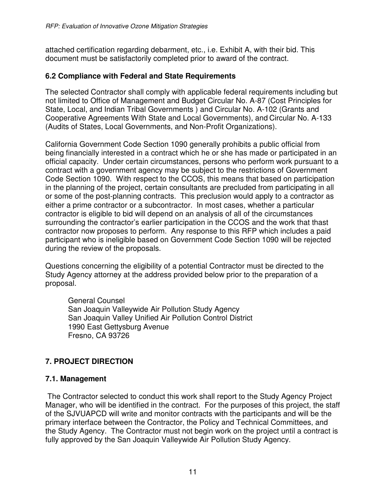attached certification regarding debarment, etc., i.e. Exhibit A, with their bid. This document must be satisfactorily completed prior to award of the contract.

### **6.2 Compliance with Federal and State Requirements**

The selected Contractor shall comply with applicable federal requirements including but not limited to Office of Management and Budget Circular No. A-87 (Cost Principles for State, Local, and Indian Tribal Governments ) and Circular No. A-102 (Grants and Cooperative Agreements With State and Local Governments), and Circular No. A-133 (Audits of States, Local Governments, and Non-Profit Organizations).

California Government Code Section 1090 generally prohibits a public official from being financially interested in a contract which he or she has made or participated in an official capacity. Under certain circumstances, persons who perform work pursuant to a contract with a government agency may be subject to the restrictions of Government Code Section 1090. With respect to the CCOS, this means that based on participation in the planning of the project, certain consultants are precluded from participating in all or some of the post-planning contracts. This preclusion would apply to a contractor as either a prime contractor or a subcontractor. In most cases, whether a particular contractor is eligible to bid will depend on an analysis of all of the circumstances surrounding the contractor's earlier participation in the CCOS and the work that thast contractor now proposes to perform. Any response to this RFP which includes a paid participant who is ineligible based on Government Code Section 1090 will be rejected during the review of the proposals.

Questions concerning the eligibility of a potential Contractor must be directed to the Study Agency attorney at the address provided below prior to the preparation of a proposal.

General Counsel San Joaquin Valleywide Air Pollution Study Agency San Joaquin Valley Unified Air Pollution Control District 1990 East Gettysburg Avenue Fresno, CA 93726

## **7. PROJECT DIRECTION**

### **7.1. Management**

 The Contractor selected to conduct this work shall report to the Study Agency Project Manager, who will be identified in the contract. For the purposes of this project, the staff of the SJVUAPCD will write and monitor contracts with the participants and will be the primary interface between the Contractor, the Policy and Technical Committees, and the Study Agency. The Contractor must not begin work on the project until a contract is fully approved by the San Joaquin Valleywide Air Pollution Study Agency.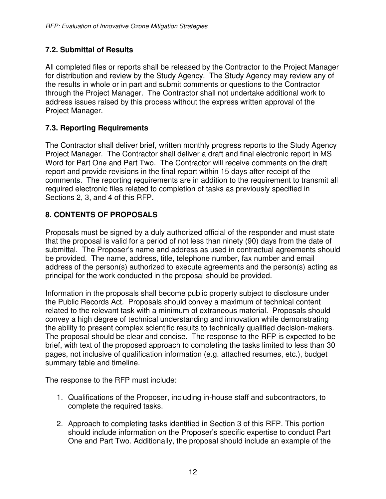## **7.2. Submittal of Results**

All completed files or reports shall be released by the Contractor to the Project Manager for distribution and review by the Study Agency. The Study Agency may review any of the results in whole or in part and submit comments or questions to the Contractor through the Project Manager. The Contractor shall not undertake additional work to address issues raised by this process without the express written approval of the Project Manager.

## **7.3. Reporting Requirements**

The Contractor shall deliver brief, written monthly progress reports to the Study Agency Project Manager. The Contractor shall deliver a draft and final electronic report in MS Word for Part One and Part Two. The Contractor will receive comments on the draft report and provide revisions in the final report within 15 days after receipt of the comments. The reporting requirements are in addition to the requirement to transmit all required electronic files related to completion of tasks as previously specified in Sections 2, 3, and 4 of this RFP.

## **8. CONTENTS OF PROPOSALS**

Proposals must be signed by a duly authorized official of the responder and must state that the proposal is valid for a period of not less than ninety (90) days from the date of submittal. The Proposer's name and address as used in contractual agreements should be provided. The name, address, title, telephone number, fax number and email address of the person(s) authorized to execute agreements and the person(s) acting as principal for the work conducted in the proposal should be provided.

Information in the proposals shall become public property subject to disclosure under the Public Records Act. Proposals should convey a maximum of technical content related to the relevant task with a minimum of extraneous material. Proposals should convey a high degree of technical understanding and innovation while demonstrating the ability to present complex scientific results to technically qualified decision-makers. The proposal should be clear and concise. The response to the RFP is expected to be brief, with text of the proposed approach to completing the tasks limited to less than 30 pages, not inclusive of qualification information (e.g. attached resumes, etc.), budget summary table and timeline.

The response to the RFP must include:

- 1. Qualifications of the Proposer, including in-house staff and subcontractors, to complete the required tasks.
- 2. Approach to completing tasks identified in Section 3 of this RFP. This portion should include information on the Proposer's specific expertise to conduct Part One and Part Two. Additionally, the proposal should include an example of the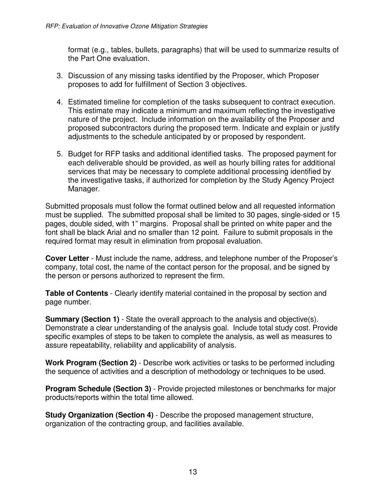format (e.g., tables, bullets, paragraphs) that will be used to summarize results of the Part One evaluation.

- 3. Discussion of any missing tasks identified by the Proposer, which Proposer proposes to add for fulfillment of Section 3 objectives.
- 4. Estimated timeline for completion of the tasks subsequent to contract execution. This estimate may indicate a minimum and maximum reflecting the investigative nature of the project. Include information on the availability of the Proposer and proposed subcontractors during the proposed term. Indicate and explain or justify adjustments to the schedule anticipated by or proposed by respondent.
- 5. Budget for RFP tasks and additional identified tasks. The proposed payment for each deliverable should be provided, as well as hourly billing rates for additional services that may be necessary to complete additional processing identified by the investigative tasks, if authorized for completion by the Study Agency Project Manager.

Submitted proposals must follow the format outlined below and all requested information must be supplied. The submitted proposal shall be limited to 30 pages, single-sided or 15 pages, double sided, with 1" margins. Proposal shall be printed on white paper and the font shall be black Arial and no smaller than 12 point. Failure to submit proposals in the required format may result in elimination from proposal evaluation.

**Cover Letter** - Must include the name, address, and telephone number of the Proposer's company, total cost, the name of the contact person for the proposal, and be signed by the person or persons authorized to represent the firm.

**Table of Contents** - Clearly identify material contained in the proposal by section and page number.

**Summary (Section 1)** - State the overall approach to the analysis and objective(s). Demonstrate a clear understanding of the analysis goal. Include total study cost. Provide specific examples of steps to be taken to complete the analysis, as well as measures to assure repeatability, reliability and applicability of analysis.

**Work Program (Section 2)** - Describe work activities or tasks to be performed including the sequence of activities and a description of methodology or techniques to be used.

**Program Schedule (Section 3)** - Provide projected milestones or benchmarks for major products/reports within the total time allowed.

**Study Organization (Section 4)** - Describe the proposed management structure, organization of the contracting group, and facilities available.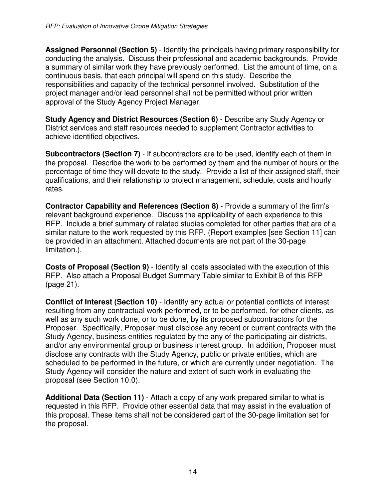**Assigned Personnel (Section 5)** - Identify the principals having primary responsibility for conducting the analysis. Discuss their professional and academic backgrounds. Provide a summary of similar work they have previously performed. List the amount of time, on a continuous basis, that each principal will spend on this study. Describe the responsibilities and capacity of the technical personnel involved. Substitution of the project manager and/or lead personnel shall not be permitted without prior written approval of the Study Agency Project Manager.

**Study Agency and District Resources (Section 6)** - Describe any Study Agency or District services and staff resources needed to supplement Contractor activities to achieve identified objectives.

**Subcontractors (Section 7)** - If subcontractors are to be used, identify each of them in the proposal. Describe the work to be performed by them and the number of hours or the percentage of time they will devote to the study. Provide a list of their assigned staff, their qualifications, and their relationship to project management, schedule, costs and hourly rates.

**Contractor Capability and References (Section 8)** - Provide a summary of the firm's relevant background experience. Discuss the applicability of each experience to this RFP. Include a brief summary of related studies completed for other parties that are of a similar nature to the work requested by this RFP. (Report examples [see Section 11] can be provided in an attachment. Attached documents are not part of the 30-page limitation.).

**Costs of Proposal (Section 9)** - Identify all costs associated with the execution of this RFP. Also attach a Proposal Budget Summary Table similar to Exhibit B of this RFP (page 21).

**Conflict of Interest (Section 10)** - Identify any actual or potential conflicts of interest resulting from any contractual work performed, or to be performed, for other clients, as well as any such work done, or to be done, by its proposed subcontractors for the Proposer. Specifically, Proposer must disclose any recent or current contracts with the Study Agency, business entities regulated by the any of the participating air districts, and/or any environmental group or business interest group. In addition, Proposer must disclose any contracts with the Study Agency, public or private entities, which are scheduled to be performed in the future, or which are currently under negotiation. The Study Agency will consider the nature and extent of such work in evaluating the proposal (see Section 10.0).

**Additional Data (Section 11)** - Attach a copy of any work prepared similar to what is requested in this RFP. Provide other essential data that may assist in the evaluation of this proposal. These items shall not be considered part of the 30-page limitation set for the proposal.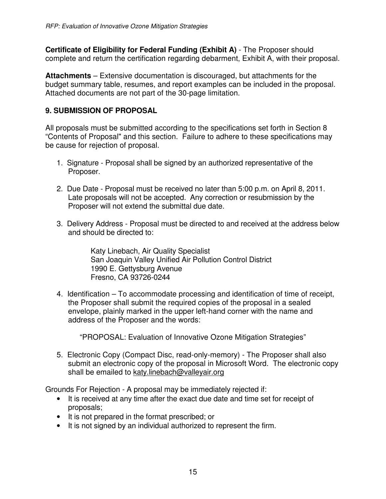**Certificate of Eligibility for Federal Funding (Exhibit A)** - The Proposer should complete and return the certification regarding debarment, Exhibit A, with their proposal.

**Attachments** – Extensive documentation is discouraged, but attachments for the budget summary table, resumes, and report examples can be included in the proposal. Attached documents are not part of the 30-page limitation.

## **9. SUBMISSION OF PROPOSAL**

All proposals must be submitted according to the specifications set forth in Section 8 "Contents of Proposal" and this section. Failure to adhere to these specifications may be cause for rejection of proposal.

- 1. Signature Proposal shall be signed by an authorized representative of the Proposer.
- 2. Due Date Proposal must be received no later than 5:00 p.m. on April 8, 2011. Late proposals will not be accepted. Any correction or resubmission by the Proposer will not extend the submittal due date.
- 3. Delivery Address Proposal must be directed to and received at the address below and should be directed to:

Katy Linebach, Air Quality Specialist San Joaquin Valley Unified Air Pollution Control District 1990 E. Gettysburg Avenue Fresno, CA 93726-0244

4. Identification – To accommodate processing and identification of time of receipt, the Proposer shall submit the required copies of the proposal in a sealed envelope, plainly marked in the upper left-hand corner with the name and address of the Proposer and the words:

"PROPOSAL: Evaluation of Innovative Ozone Mitigation Strategies"

5. Electronic Copy (Compact Disc, read-only-memory) - The Proposer shall also submit an electronic copy of the proposal in Microsoft Word. The electronic copy shall be emailed to katy.linebach@valleyair.org

Grounds For Rejection - A proposal may be immediately rejected if:

- It is received at any time after the exact due date and time set for receipt of proposals;
- It is not prepared in the format prescribed; or
- It is not signed by an individual authorized to represent the firm.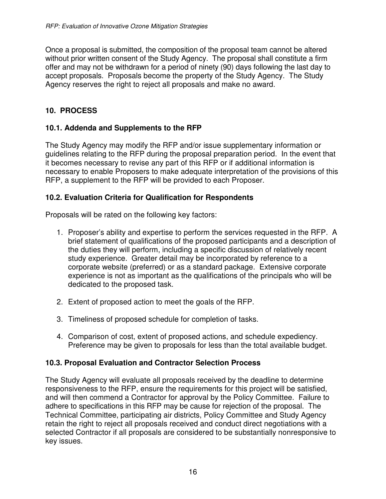Once a proposal is submitted, the composition of the proposal team cannot be altered without prior written consent of the Study Agency. The proposal shall constitute a firm offer and may not be withdrawn for a period of ninety (90) days following the last day to accept proposals. Proposals become the property of the Study Agency. The Study Agency reserves the right to reject all proposals and make no award.

## **10. PROCESS**

## **10.1. Addenda and Supplements to the RFP**

The Study Agency may modify the RFP and/or issue supplementary information or guidelines relating to the RFP during the proposal preparation period. In the event that it becomes necessary to revise any part of this RFP or if additional information is necessary to enable Proposers to make adequate interpretation of the provisions of this RFP, a supplement to the RFP will be provided to each Proposer.

## **10.2. Evaluation Criteria for Qualification for Respondents**

Proposals will be rated on the following key factors:

- 1. Proposer's ability and expertise to perform the services requested in the RFP. A brief statement of qualifications of the proposed participants and a description of the duties they will perform, including a specific discussion of relatively recent study experience. Greater detail may be incorporated by reference to a corporate website (preferred) or as a standard package. Extensive corporate experience is not as important as the qualifications of the principals who will be dedicated to the proposed task.
- 2. Extent of proposed action to meet the goals of the RFP.
- 3. Timeliness of proposed schedule for completion of tasks.
- 4. Comparison of cost, extent of proposed actions, and schedule expediency. Preference may be given to proposals for less than the total available budget.

### **10.3. Proposal Evaluation and Contractor Selection Process**

The Study Agency will evaluate all proposals received by the deadline to determine responsiveness to the RFP, ensure the requirements for this project will be satisfied, and will then commend a Contractor for approval by the Policy Committee. Failure to adhere to specifications in this RFP may be cause for rejection of the proposal. The Technical Committee, participating air districts, Policy Committee and Study Agency retain the right to reject all proposals received and conduct direct negotiations with a selected Contractor if all proposals are considered to be substantially nonresponsive to key issues.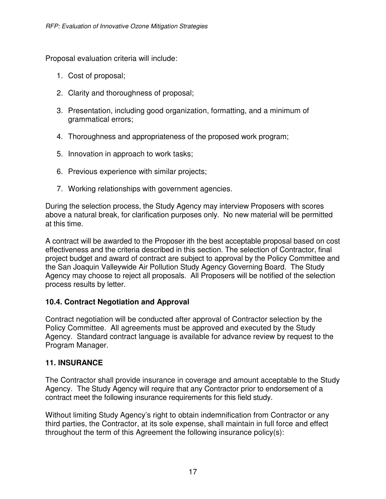Proposal evaluation criteria will include:

- 1. Cost of proposal;
- 2. Clarity and thoroughness of proposal;
- 3. Presentation, including good organization, formatting, and a minimum of grammatical errors;
- 4. Thoroughness and appropriateness of the proposed work program;
- 5. Innovation in approach to work tasks;
- 6. Previous experience with similar projects;
- 7. Working relationships with government agencies.

During the selection process, the Study Agency may interview Proposers with scores above a natural break, for clarification purposes only. No new material will be permitted at this time.

A contract will be awarded to the Proposer ith the best acceptable proposal based on cost effectiveness and the criteria described in this section. The selection of Contractor, final project budget and award of contract are subject to approval by the Policy Committee and the San Joaquin Valleywide Air Pollution Study Agency Governing Board. The Study Agency may choose to reject all proposals. All Proposers will be notified of the selection process results by letter.

### **10.4. Contract Negotiation and Approval**

Contract negotiation will be conducted after approval of Contractor selection by the Policy Committee. All agreements must be approved and executed by the Study Agency. Standard contract language is available for advance review by request to the Program Manager.

#### **11. INSURANCE**

The Contractor shall provide insurance in coverage and amount acceptable to the Study Agency. The Study Agency will require that any Contractor prior to endorsement of a contract meet the following insurance requirements for this field study.

Without limiting Study Agency's right to obtain indemnification from Contractor or any third parties, the Contractor, at its sole expense, shall maintain in full force and effect throughout the term of this Agreement the following insurance policy(s):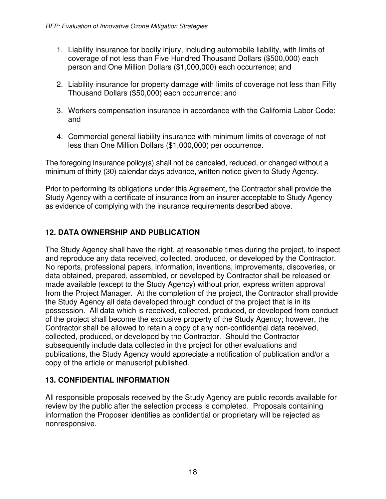- 1. Liability insurance for bodily injury, including automobile liability, with limits of coverage of not less than Five Hundred Thousand Dollars (\$500,000) each person and One Million Dollars (\$1,000,000) each occurrence; and
- 2. Liability insurance for property damage with limits of coverage not less than Fifty Thousand Dollars (\$50,000) each occurrence; and
- 3. Workers compensation insurance in accordance with the California Labor Code; and
- 4. Commercial general liability insurance with minimum limits of coverage of not less than One Million Dollars (\$1,000,000) per occurrence.

The foregoing insurance policy(s) shall not be canceled, reduced, or changed without a minimum of thirty (30) calendar days advance, written notice given to Study Agency.

Prior to performing its obligations under this Agreement, the Contractor shall provide the Study Agency with a certificate of insurance from an insurer acceptable to Study Agency as evidence of complying with the insurance requirements described above.

## **12. DATA OWNERSHIP AND PUBLICATION**

The Study Agency shall have the right, at reasonable times during the project, to inspect and reproduce any data received, collected, produced, or developed by the Contractor. No reports, professional papers, information, inventions, improvements, discoveries, or data obtained, prepared, assembled, or developed by Contractor shall be released or made available (except to the Study Agency) without prior, express written approval from the Project Manager. At the completion of the project, the Contractor shall provide the Study Agency all data developed through conduct of the project that is in its possession. All data which is received, collected, produced, or developed from conduct of the project shall become the exclusive property of the Study Agency; however, the Contractor shall be allowed to retain a copy of any non-confidential data received, collected, produced, or developed by the Contractor. Should the Contractor subsequently include data collected in this project for other evaluations and publications, the Study Agency would appreciate a notification of publication and/or a copy of the article or manuscript published.

## **13. CONFIDENTIAL INFORMATION**

All responsible proposals received by the Study Agency are public records available for review by the public after the selection process is completed. Proposals containing information the Proposer identifies as confidential or proprietary will be rejected as nonresponsive.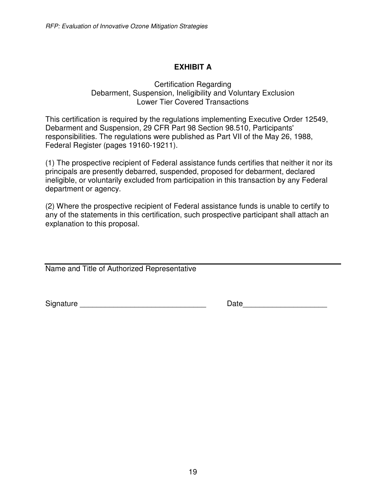## **EXHIBIT A**

#### Certification Regarding Debarment, Suspension, Ineligibility and Voluntary Exclusion Lower Tier Covered Transactions

This certification is required by the regulations implementing Executive Order 12549, Debarment and Suspension, 29 CFR Part 98 Section 98.510, Participants' responsibilities. The regulations were published as Part VII of the May 26, 1988, Federal Register (pages 19160-19211).

(1) The prospective recipient of Federal assistance funds certifies that neither it nor its principals are presently debarred, suspended, proposed for debarment, declared ineligible, or voluntarily excluded from participation in this transaction by any Federal department or agency.

(2) Where the prospective recipient of Federal assistance funds is unable to certify to any of the statements in this certification, such prospective participant shall attach an explanation to this proposal.

Name and Title of Authorized Representative

Signature \_\_\_\_\_\_\_\_\_\_\_\_\_\_\_\_\_\_\_\_\_\_\_\_\_\_\_\_\_\_ Date\_\_\_\_\_\_\_\_\_\_\_\_\_\_\_\_\_\_\_\_